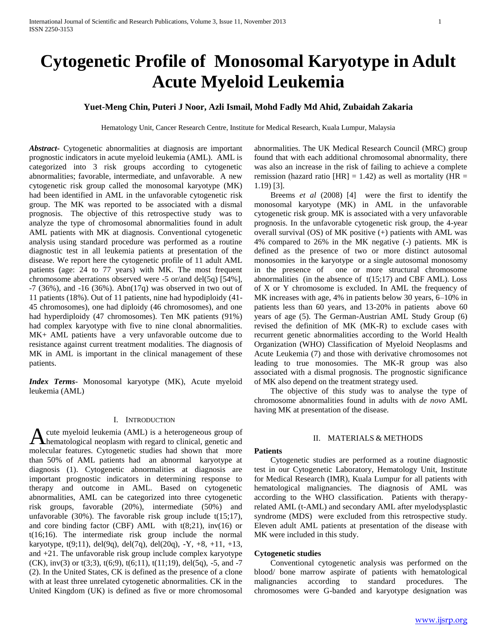# **Cytogenetic Profile of Monosomal Karyotype in Adult Acute Myeloid Leukemia**

# **Yuet-Meng Chin, Puteri J Noor, Azli Ismail, Mohd Fadly Md Ahid, Zubaidah Zakaria**

Hematology Unit, Cancer Research Centre, Institute for Medical Research, Kuala Lumpur, Malaysia

*Abstract***-** Cytogenetic abnormalities at diagnosis are important prognostic indicators in acute myeloid leukemia (AML). AML is categorized into 3 risk groups according to cytogenetic abnormalities; favorable, intermediate, and unfavorable. A new cytogenetic risk group called the monosomal karyotype (MK) had been identified in AML in the unfavorable cytogenetic risk group. The MK was reported to be associated with a dismal prognosis. The objective of this retrospective study was to analyze the type of chromosomal abnormalities found in adult AML patients with MK at diagnosis. Conventional cytogenetic analysis using standard procedure was performed as a routine diagnostic test in all leukemia patients at presentation of the disease. We report here the cytogenetic profile of 11 adult AML patients (age: 24 to 77 years) with MK. The most frequent chromosome aberrations observed were -5 or/and del(5q) [54%], -7 (36%), and -16 (36%). Abn(17q) was observed in two out of 11 patients (18%). Out of 11 patients, nine had hypodiploidy (41- 45 chromosomes), one had diploidy (46 chromosomes), and one had hyperdiploidy (47 chromosomes). Ten MK patients (91%) had complex karyotype with five to nine clonal abnormalities. MK+ AML patients have a very unfavorable outcome due to resistance against current treatment modalities. The diagnosis of MK in AML is important in the clinical management of these patients.

*Index Terms*- Monosomal karyotype (MK), Acute myeloid leukemia (AML)

## I. INTRODUCTION

cute myeloid leukemia (AML) is a heterogeneous group of A cute myeloid leukemia (AML) is a heterogeneous group of hematological neoplasm with regard to clinical, genetic and molecular features. Cytogenetic studies had shown that more than 50% of AML patients had an abnormal karyotype at diagnosis (1). Cytogenetic abnormalities at diagnosis are important prognostic indicators in determining response to therapy and outcome in AML. Based on cytogenetic abnormalities, AML can be categorized into three cytogenetic risk groups, favorable (20%), intermediate (50%) and unfavorable (30%). The favorable risk group include  $t(15;17)$ , and core binding factor (CBF) AML with  $t(8;21)$ , inv(16) or t(16;16). The intermediate risk group include the normal karyotype,  $t(9;11)$ , del $(9q)$ , del $(7q)$ , del $(20q)$ ,  $-Y$ ,  $+8$ ,  $+11$ ,  $+13$ , and +21. The unfavorable risk group include complex karyotype  $(CK)$ , inv(3) or t(3;3), t(6;9), t(6;11), t(11;19), del(5q), -5, and -7 (2). In the United States, CK is defined as the presence of a clone with at least three unrelated cytogenetic abnormalities. CK in the United Kingdom (UK) is defined as five or more chromosomal

abnormalities. The UK Medical Research Council (MRC) group found that with each additional chromosomal abnormality, there was also an increase in the risk of failing to achieve a complete remission (hazard ratio [HR] = 1.42) as well as mortality (HR = 1.19) [3].

 Breems *et al* (2008) [4] were the first to identify the monosomal karyotype (MK) in AML in the unfavorable cytogenetic risk group. MK is associated with a very unfavorable prognosis. In the unfavorable cytogenetic risk group, the 4-year overall survival (OS) of MK positive (+) patients with AML was 4% compared to 26% in the MK negative (-) patients. MK is defined as the presence of two or more distinct autosomal monosomies in the karyotype or a single autosomal monosomy in the presence of one or more structural chromosome abnormalities (in the absence of  $t(15;17)$  and CBF AML). Loss of X or Y chromosome is excluded. In AML the frequency of MK increases with age, 4% in patients below 30 years, 6–10% in patients less than 60 years, and 13-20% in patients above 60 years of age (5). The German-Austrian AML Study Group (6) revised the definition of MK (MK-R) to exclude cases with recurrent genetic abnormalities according to the World Health Organization (WHO) Classification of Myeloid Neoplasms and Acute Leukemia (7) and those with derivative chromosomes not leading to true monosomies. The MK-R group was also associated with a dismal prognosis. The prognostic significance of MK also depend on the treatment strategy used.

 The objective of this study was to analyse the type of chromosome abnormalities found in adults with *de novo* AML having MK at presentation of the disease.

# II. MATERIALS & METHODS

#### **Patients**

 Cytogenetic studies are performed as a routine diagnostic test in our Cytogenetic Laboratory, Hematology Unit, Institute for Medical Research (IMR), Kuala Lumpur for all patients with hematological malignancies. The diagnosis of AML was according to the WHO classification. Patients with therapyrelated AML (t-AML) and secondary AML after myelodysplastic syndrome (MDS) were excluded from this retrospective study. Eleven adult AML patients at presentation of the disease with MK were included in this study.

## **Cytogenetic studies**

 Conventional cytogenetic analysis was performed on the blood/ bone marrow aspirate of patients with hematological malignancies according to standard procedures. The chromosomes were G-banded and karyotype designation was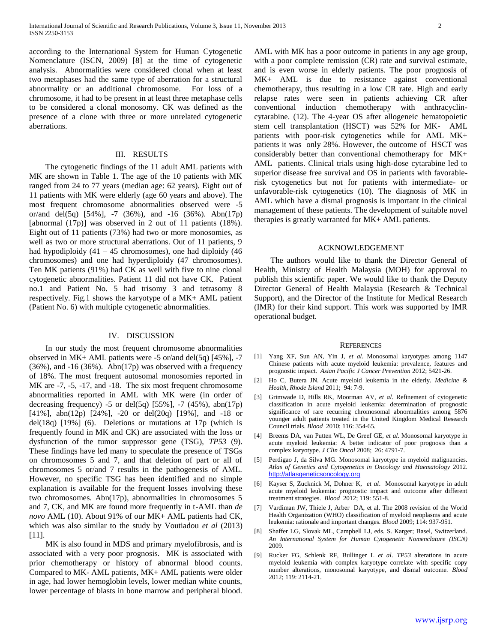according to the International System for Human Cytogenetic Nomenclature (ISCN, 2009) [8] at the time of cytogenetic analysis. Abnormalities were considered clonal when at least two metaphases had the same type of aberration for a structural abnormality or an additional chromosome. For loss of a chromosome, it had to be present in at least three metaphase cells to be considered a clonal monosomy. CK was defined as the presence of a clone with three or more unrelated cytogenetic aberrations.

# III. RESULTS

 The cytogenetic findings of the 11 adult AML patients with MK are shown in Table 1. The age of the 10 patients with MK ranged from 24 to 77 years (median age: 62 years). Eight out of 11 patients with MK were elderly (age 60 years and above). The most frequent chromosome abnormalities observed were -5 or/and del(5q) [54%], -7 (36%), and -16 (36%). Abn(17p) [abnormal  $(17p)$ ] was observed in 2 out of 11 patients  $(18\%)$ . Eight out of 11 patients (73%) had two or more monosomies, as well as two or more structural aberrations. Out of 11 patients, 9 had hypodiploidy  $(41 - 45$  chromosomes), one had diploidy  $(46$ chromosomes) and one had hyperdiploidy (47 chromosomes). Ten MK patients (91%) had CK as well with five to nine clonal cytogenetic abnormalities. Patient 11 did not have CK. Patient no.1 and Patient No. 5 had trisomy 3 and tetrasomy 8 respectively. Fig.1 shows the karyotype of a MK+ AML patient (Patient No. 6) with multiple cytogenetic abnormalities.

## IV. DISCUSSION

 In our study the most frequent chromosome abnormalities observed in MK+ AML patients were -5 or/and del(5q) [45%], -7  $(36\%)$ , and  $-16$   $(36\%)$ . Abn $(17p)$  was observed with a frequency of 18%. The most frequent autosomal monosomies reported in MK are  $-7$ ,  $-5$ ,  $-17$ , and  $-18$ . The six most frequent chromosome abnormalities reported in AML with MK were (in order of decreasing frequency) -5 or del $(5q)$  [55%], -7 (45%), abn(17p) [41%], abn(12p) [24%], -20 or del(20q) [19%], and -18 or del(18q)  $[19\%]$  (6). Deletions or mutations at 17p (which is frequently found in MK and CK) are associated with the loss or dysfunction of the tumor suppressor gene (TSG), *TP53* (9). These findings have led many to speculate the presence of TSGs on chromosomes 5 and 7, and that deletion of part or all of chromosomes 5 or/and 7 results in the pathogenesis of AML. However, no specific TSG has been identified and no simple explanation is available for the frequent losses involving these two chromosomes. Abn(17p), abnormalities in chromosomes 5 and 7, CK, and MK are found more frequently in t-AML than *de novo* AML (10). About 91% of our MK+ AML patients had CK, which was also similar to the study by Voutiadou *et al* (2013) [11].

 MK is also found in MDS and primary myelofibrosis, and is associated with a very poor prognosis. MK is associated with prior chemotherapy or history of abnormal blood counts. Compared to MK- AML patients, MK+ AML patients were older in age, had lower hemoglobin levels, lower median white counts, lower percentage of blasts in bone marrow and peripheral blood.

AML with MK has a poor outcome in patients in any age group, with a poor complete remission (CR) rate and survival estimate, and is even worse in elderly patients. The poor prognosis of MK+ AML is due to resistance against conventional chemotherapy, thus resulting in a low CR rate. High and early relapse rates were seen in patients achieving CR after conventional induction chemotherapy with anthracyclincytarabine. (12). The 4-year OS after allogeneic hematopoietic stem cell transplantation (HSCT) was 52% for MK- AML patients with poor-risk cytogenetics while for AML MK+ patients it was only 28%. However, the outcome of HSCT was considerably better than conventional chemotherapy for MK+ AML patients. Clinical trials using high-dose cytarabine led to superior disease free survival and OS in patients with favorablerisk cytogenetics but not for patients with intermediate- or unfavorable-risk cytogenetics (10). The diagnosis of MK in AML which have a dismal prognosis is important in the clinical management of these patients. The development of suitable novel therapies is greatly warranted for MK+ AML patients.

#### ACKNOWLEDGEMENT

 The authors would like to thank the Director General of Health, Ministry of Health Malaysia (MOH) for approval to publish this scientific paper. We would like to thank the Deputy Director General of Health Malaysia (Research & Technical Support), and the Director of the Institute for Medical Research (IMR) for their kind support. This work was supported by IMR operational budget.

#### **REFERENCES**

- [1] Yang XF, Sun AN, Yin J, *et al*. Monosomal karyotypes among 1147 Chinese patients with acute myeloid leukemia: prevalence, features and prognostic impact. *Asian Pacific J Cancer Prevention* 2012; 5421-26.
- [2] Ho C, Butera JN. Acute myeloid leukemia in the elderly. *Medicine & Health, Rhode Island* 2011; 94: 7-9.
- [3] Grimwade D, Hills RK, Moorman AV, *et al*. Refinement of cytogenetic classification in acute myeloid leukemia: determination of prognostic significance of rare recurring chromosomal abnormalities among 5876 younger adult patients treated in the United Kingdom Medical Research Council trials. *Blood* 2010; 116: 354-65.
- [4] Breems DA, van Putten WL, De Greef GE, *et al*. Monosomal karyotype in acute myeloid leukemia: A better indicator of poor prognosis than a complex karyotype. *J Clin Oncol* 2008; 26: 4791-7.
- [5] Perdigao J, da Silva MG. Monosomal karyotype in myeloid malignancies. *Atlas of Genetics and Cytogenetics in Oncology and Haematology* 2012. [http://atlasgeneticsoncology.org](http://atlasgeneticsoncology.org/)
- [6] Kayser S, Zucknick M, Dohner K, *et al*. Monosomal karyotype in adult acute myeloid leukemia: prognostic impact and outcome after different treatment strategies. *Blood* 2012; 119: 551-8.
- [7] Vardiman JW, Thiele J, Arber DA, et al. The 2008 revision of the World Health Organization (WHO) classification of myeloid neoplasms and acute leukemia: rationale and important changes. *Blood* 2009; 114: 937-951.
- [8] Shaffer LG, Slovak ML, Campbell LJ, eds. S. Karger; Basel, Switzerland. *An International System for Human Cytogenetic Nomenclature (ISCN)* 2009.
- [9] Rucker FG, Schlenk RF, Bullinger L *et al*. *TP53* alterations in acute myeloid leukemia with complex karyotype correlate with specific copy number alterations, monosomal karyotype, and dismal outcome. *Blood* 2012; 119: 2114-21.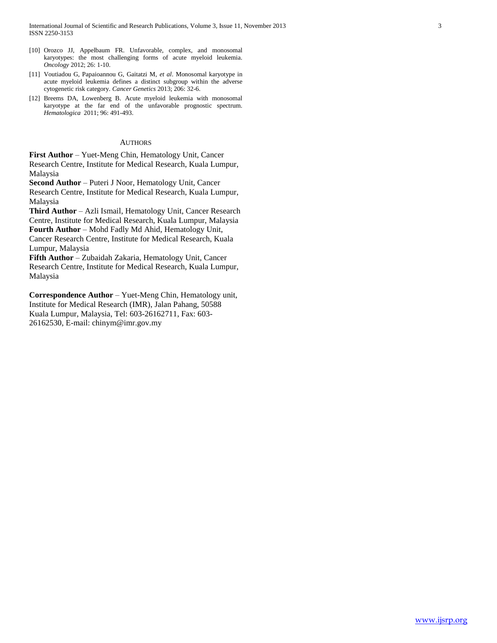- [10] Orozco JJ, Appelbaum FR. Unfavorable, complex, and monosomal karyotypes: the most challenging forms of acute myeloid leukemia. *Oncology* 2012; 26: 1-10.
- [11] Voutiadou G, Papaioannou G, Gaitatzi M, *et al*. Monosomal karyotype in acute myeloid leukemia defines a distinct subgroup within the adverse cytogenetic risk category. *Cancer Genetics* 2013; 206: 32-6.
- [12] Breems DA, Lowenberg B. Acute myeloid leukemia with monosomal karyotype at the far end of the unfavorable prognostic spectrum. *Hematologica* 2011; 96: 491-493.

## **AUTHORS**

**First Author** – Yuet-Meng Chin, Hematology Unit, Cancer Research Centre, Institute for Medical Research, Kuala Lumpur, Malaysia

**Second Author** – Puteri J Noor, Hematology Unit, Cancer Research Centre, Institute for Medical Research, Kuala Lumpur, Malaysia

**Third Author** – Azli Ismail, Hematology Unit, Cancer Research Centre, Institute for Medical Research, Kuala Lumpur, Malaysia **Fourth Author** – Mohd Fadly Md Ahid, Hematology Unit, Cancer Research Centre, Institute for Medical Research, Kuala

Lumpur, Malaysia

**Fifth Author** – Zubaidah Zakaria, Hematology Unit, Cancer Research Centre, Institute for Medical Research, Kuala Lumpur, Malaysia

**Correspondence Author** – Yuet-Meng Chin, Hematology unit, Institute for Medical Research (IMR), Jalan Pahang, 50588 Kuala Lumpur, Malaysia, Tel: 603-26162711, Fax: 603- 26162530, E-mail: chinym@imr.gov.my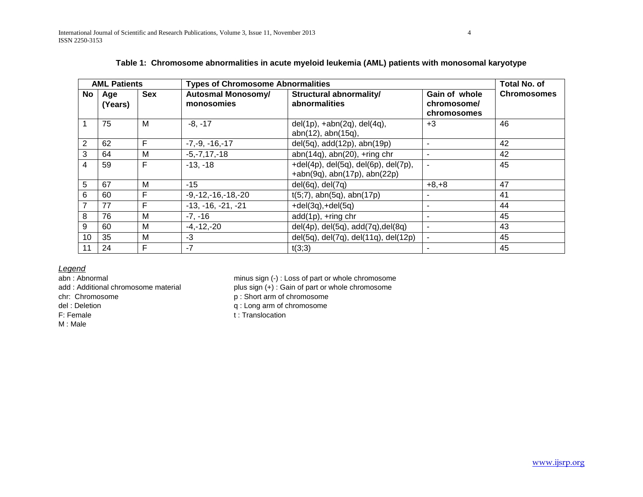| <b>AML Patients</b> |                |            | <b>Types of Chromosome Abnormalities</b> |                                                                                     |                                             | Total No. of       |
|---------------------|----------------|------------|------------------------------------------|-------------------------------------------------------------------------------------|---------------------------------------------|--------------------|
| No                  | Age<br>(Years) | <b>Sex</b> | <b>Autosmal Monosomy/</b><br>monosomies  | Structural abnormality/<br>abnormalities                                            | Gain of whole<br>chromosome/<br>chromosomes | <b>Chromosomes</b> |
|                     | 75             | M          | $-8, -17$                                | $del(1p)$ , +abn $(2q)$ , del $(4q)$ ,<br>abn(12), abn(15q),                        | $+3$                                        | 46                 |
| $\overline{2}$      | 62             | F          | $-7, -9, -16, -17$                       | del(5q), add(12p), abn(19p)                                                         | $\overline{\phantom{a}}$                    | 42                 |
| 3                   | 64             | M          | $-5, -7, 17, -18$                        | $abn(14q)$ , $abn(20)$ , +ring chr                                                  | $\blacksquare$                              | 42                 |
| 4                   | 59             | F          | $-13, -18$                               | $+del(4p)$ , del $(5q)$ , del $(6p)$ , del $(7p)$ ,<br>+abn(9q), abn(17p), abn(22p) | $\blacksquare$                              | 45                 |
| 5                   | 67             | M          | $-15$                                    | $del(6q)$ , $del(7q)$                                                               | $+8, +8$                                    | 47                 |
| 6                   | 60             | F          | $-9, -12, -16, -18, -20$                 | $t(5,7)$ , abn $(5q)$ , abn $(17p)$                                                 |                                             | 41                 |
| $\overline{7}$      | 77             | F          | $-13, -16, -21, -21$                     | $+del(3q), +del(5q)$                                                                | $\blacksquare$                              | 44                 |
| 8                   | 76             | M          | $-7, -16$                                | add(1p), +ring chr                                                                  | $\blacksquare$                              | 45                 |
| 9                   | 60             | M          | $-4, -12, -20$                           | $del(4p)$ , $del(5q)$ , $add(7q)$ , $del(8q)$                                       | $\blacksquare$                              | 43                 |
| 10                  | 35             | M          | $-3$                                     | del(5q), del(7q), del(11q), del(12p)                                                | $\blacksquare$                              | 45                 |
| 11                  | 24             | F          | $-7$                                     | t(3;3)                                                                              |                                             | 45                 |

| Table 1: Chromosome abnormalities in acute myeloid leukemia (AML) patients with monosomal karyotype |
|-----------------------------------------------------------------------------------------------------|
|-----------------------------------------------------------------------------------------------------|

*Legend*

M : Male

minus sign (-) : Loss of part or whole chromosome add : Additional chromosome material plus sign (+) : Gain of part or whole chromosome chr: Chromosome p: Short arm of chromosome

del : Deletion q : Long arm of chromosome

F: Female t : Translocation